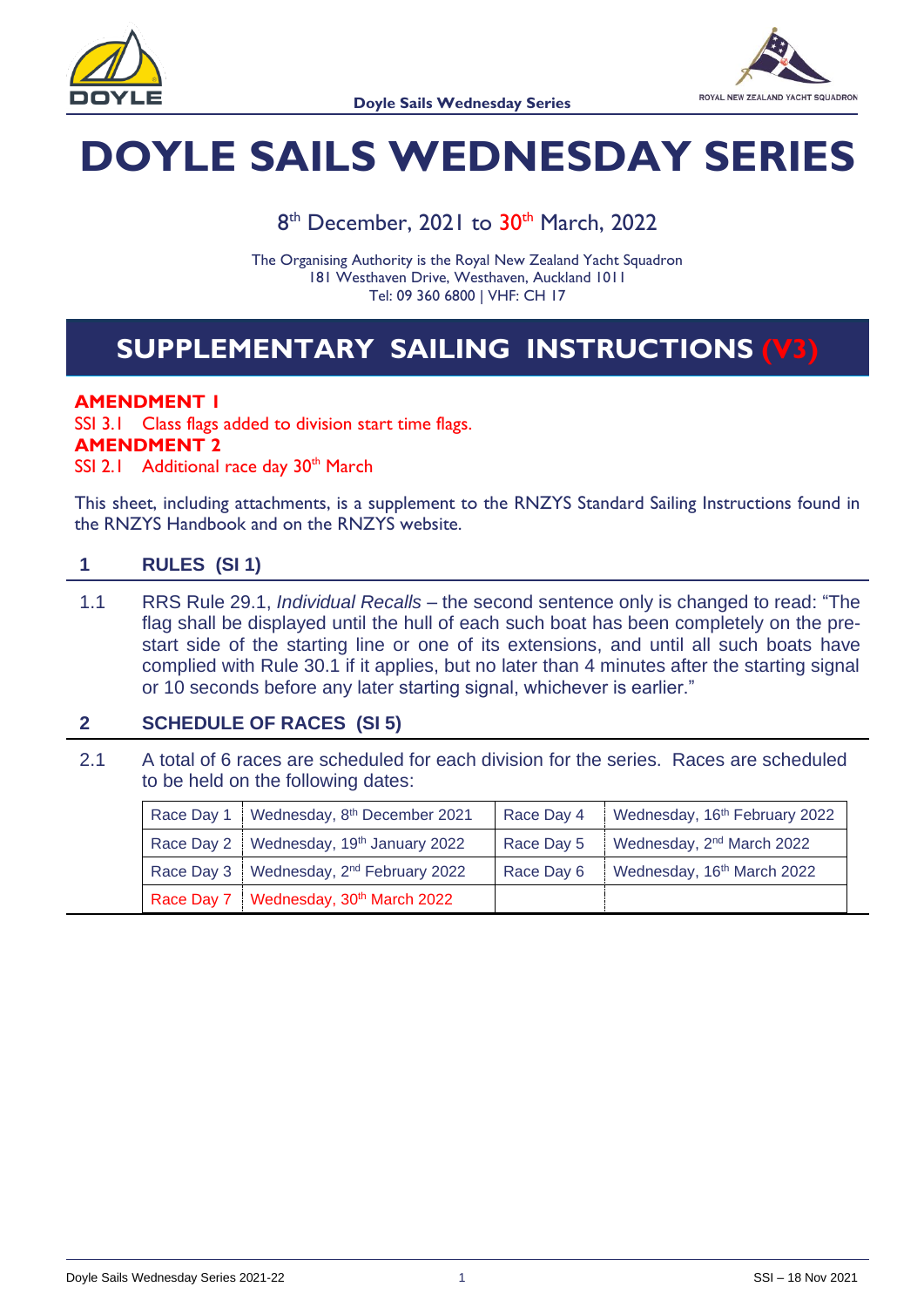



# **DOYLE SAILS WEDNESDAY SERIES**

8<sup>th</sup> December, 2021 to 30<sup>th</sup> March, 2022

The Organising Authority is the Royal New Zealand Yacht Squadron 181 Westhaven Drive, Westhaven, Auckland 1011 Tel: 09 360 6800 | VHF: CH 17

# **SUPPLEMENTARY SAILING INSTRUCTIONS (V3)**

#### **AMENDMENT 1**

SSI 3.1 Class flags added to division start time flags. **AMENDMENT 2**

SSI 2.1 Additional race day 30<sup>th</sup> March

This sheet, including attachments, is a supplement to the RNZYS Standard Sailing Instructions found in the RNZYS Handbook and on the RNZYS website.

#### **1 RULES (SI 1)**

1.1 RRS Rule 29.1, *Individual Recalls* – the second sentence only is changed to read: "The flag shall be displayed until the hull of each such boat has been completely on the prestart side of the starting line or one of its extensions, and until all such boats have complied with Rule 30.1 if it applies, but no later than 4 minutes after the starting signal or 10 seconds before any later starting signal, whichever is earlier."

#### **2 SCHEDULE OF RACES (SI 5)**

2.1 A total of 6 races are scheduled for each division for the series. Races are scheduled to be held on the following dates:

| Race Day 1   Wednesday, 8th December 2021             | Race Day 4 | Wednesday, 16 <sup>th</sup> February 2022 |
|-------------------------------------------------------|------------|-------------------------------------------|
| Race Day 2   Wednesday, 19th January 2022             | Race Day 5 | Wednesday, 2 <sup>nd</sup> March 2022     |
| Race Day 3   Wednesday, 2 <sup>nd</sup> February 2022 | Race Day 6 | Wednesday, 16th March 2022                |
| Race Day 7   Wednesday, 30th March 2022               |            |                                           |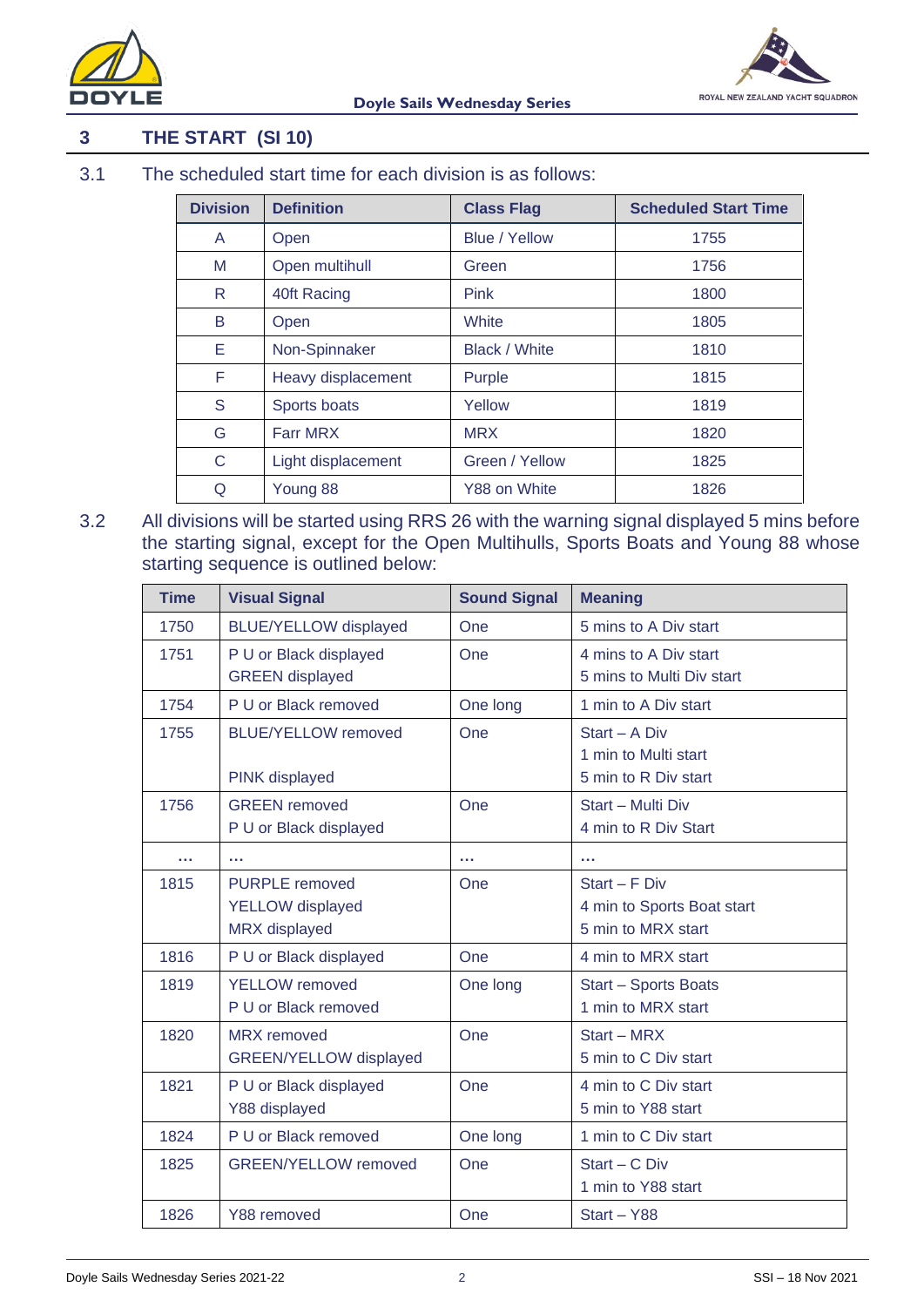

## **3 THE START (SI 10)**

3.1 The scheduled start time for each division is as follows:

| <b>Division</b> | <b>Definition</b>  | <b>Class Flag</b>    | <b>Scheduled Start Time</b> |
|-----------------|--------------------|----------------------|-----------------------------|
| A               | Open               | <b>Blue / Yellow</b> | 1755                        |
| M               | Open multihull     | Green                | 1756                        |
| R.              | 40ft Racing        | <b>Pink</b>          | 1800                        |
| B               | Open               | White                | 1805                        |
| Е               | Non-Spinnaker      | <b>Black / White</b> | 1810                        |
| F               | Heavy displacement | Purple               | 1815                        |
| S               | Sports boats       | Yellow               | 1819                        |
| G               | <b>Farr MRX</b>    | <b>MRX</b>           | 1820                        |
| C               | Light displacement | Green / Yellow       | 1825                        |
| Q               | Young 88           | Y88 on White         | 1826                        |

3.2 All divisions will be started using RRS 26 with the warning signal displayed 5 mins before the starting signal, except for the Open Multihulls, Sports Boats and Young 88 whose starting sequence is outlined below:

| <b>Time</b> | <b>Visual Signal</b>                                                     | <b>Sound Signal</b> | <b>Meaning</b>                                                    |
|-------------|--------------------------------------------------------------------------|---------------------|-------------------------------------------------------------------|
| 1750        | <b>BLUE/YELLOW displayed</b>                                             | One                 | 5 mins to A Div start                                             |
| 1751        | P U or Black displayed<br><b>GREEN</b> displayed                         | One                 | 4 mins to A Div start<br>5 mins to Multi Div start                |
| 1754        | P U or Black removed                                                     | One long            | 1 min to A Div start                                              |
| 1755        | <b>BLUE/YELLOW removed</b><br>PINK displayed                             | One                 | Start - A Div<br>1 min to Multi start<br>5 min to R Div start     |
| 1756        | <b>GREEN</b> removed<br>P U or Black displayed                           | One                 | Start - Multi Div<br>4 min to R Div Start                         |
|             |                                                                          | a da                | a da                                                              |
| 1815        | <b>PURPLE</b> removed<br><b>YELLOW</b> displayed<br><b>MRX</b> displayed | One                 | Start - F Div<br>4 min to Sports Boat start<br>5 min to MRX start |
| 1816        | P U or Black displayed                                                   | One                 | 4 min to MRX start                                                |
| 1819        | <b>YELLOW</b> removed<br>P U or Black removed                            | One long            | <b>Start - Sports Boats</b><br>1 min to MRX start                 |
| 1820        | <b>MRX</b> removed<br>GREEN/YELLOW displayed                             | One                 | Start - MRX<br>5 min to C Div start                               |
| 1821        | P U or Black displayed<br>Y88 displayed                                  | One                 | 4 min to C Div start<br>5 min to Y88 start                        |
| 1824        | P U or Black removed                                                     | One long            | 1 min to C Div start                                              |
| 1825        | <b>GREEN/YELLOW removed</b>                                              | One                 | $Start - C Div$<br>1 min to Y88 start                             |
| 1826        | Y88 removed                                                              | One                 | Start - Y88                                                       |